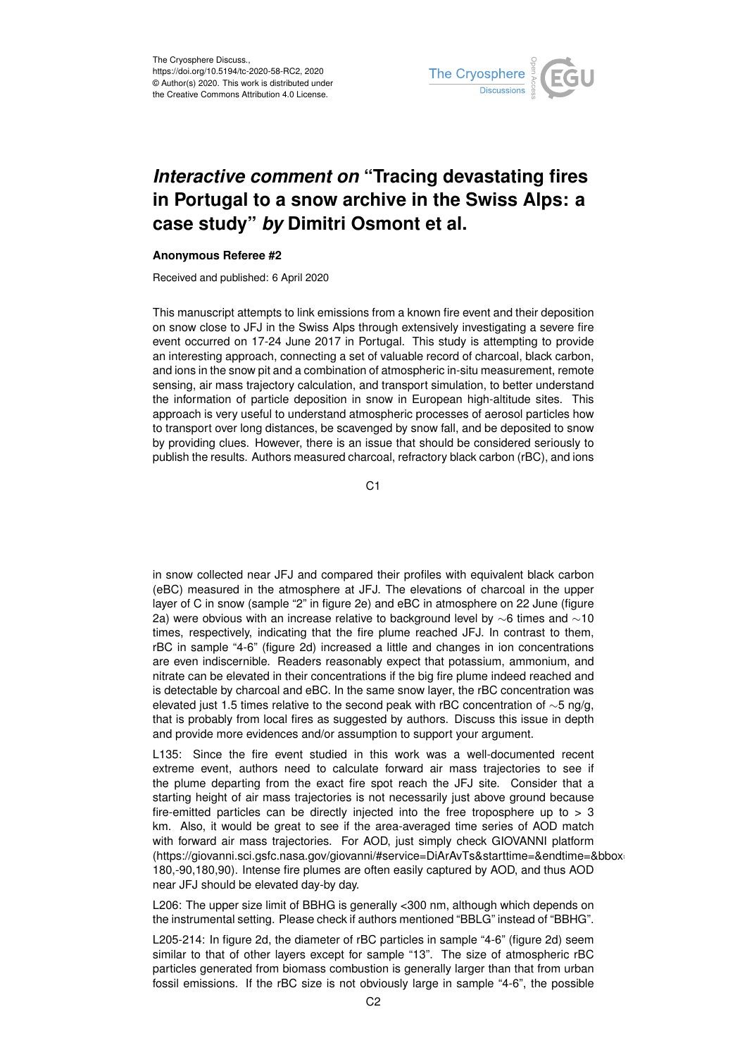

## *Interactive comment on* **"Tracing devastating fires in Portugal to a snow archive in the Swiss Alps: a case study"** *by* **Dimitri Osmont et al.**

## **Anonymous Referee #2**

Received and published: 6 April 2020

This manuscript attempts to link emissions from a known fire event and their deposition on snow close to JFJ in the Swiss Alps through extensively investigating a severe fire event occurred on 17-24 June 2017 in Portugal. This study is attempting to provide an interesting approach, connecting a set of valuable record of charcoal, black carbon, and ions in the snow pit and a combination of atmospheric in-situ measurement, remote sensing, air mass trajectory calculation, and transport simulation, to better understand the information of particle deposition in snow in European high-altitude sites. This approach is very useful to understand atmospheric processes of aerosol particles how to transport over long distances, be scavenged by snow fall, and be deposited to snow by providing clues. However, there is an issue that should be considered seriously to publish the results. Authors measured charcoal, refractory black carbon (rBC), and ions

C<sub>1</sub>

in snow collected near JFJ and compared their profiles with equivalent black carbon (eBC) measured in the atmosphere at JFJ. The elevations of charcoal in the upper layer of C in snow (sample "2" in figure 2e) and eBC in atmosphere on 22 June (figure 2a) were obvious with an increase relative to background level by ∼6 times and ∼10 times, respectively, indicating that the fire plume reached JFJ. In contrast to them, rBC in sample "4-6" (figure 2d) increased a little and changes in ion concentrations are even indiscernible. Readers reasonably expect that potassium, ammonium, and nitrate can be elevated in their concentrations if the big fire plume indeed reached and is detectable by charcoal and eBC. In the same snow layer, the rBC concentration was elevated just 1.5 times relative to the second peak with rBC concentration of  $\sim$ 5 ng/g, that is probably from local fires as suggested by authors. Discuss this issue in depth and provide more evidences and/or assumption to support your argument.

L135: Since the fire event studied in this work was a well-documented recent extreme event, authors need to calculate forward air mass trajectories to see if the plume departing from the exact fire spot reach the JFJ site. Consider that a starting height of air mass trajectories is not necessarily just above ground because fire-emitted particles can be directly injected into the free troposphere up to  $> 3$ km. Also, it would be great to see if the area-averaged time series of AOD match with forward air mass trajectories. For AOD, just simply check GIOVANNI platform (https://giovanni.sci.gsfc.nasa.gov/giovanni/#service=DiArAvTs&starttime=&endtime=&bbox=- 180,-90,180,90). Intense fire plumes are often easily captured by AOD, and thus AOD near JFJ should be elevated day-by day.

L206: The upper size limit of BBHG is generally <300 nm, although which depends on the instrumental setting. Please check if authors mentioned "BBLG" instead of "BBHG".

L205-214: In figure 2d, the diameter of rBC particles in sample "4-6" (figure 2d) seem similar to that of other layers except for sample "13". The size of atmospheric rBC particles generated from biomass combustion is generally larger than that from urban fossil emissions. If the rBC size is not obviously large in sample "4-6", the possible